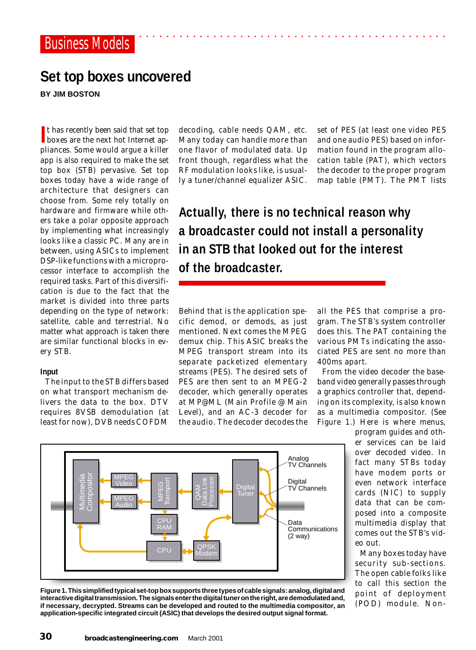## **Set top boxes uncovered**

**BY JIM BOSTON**

If thas recently been said that set top boxes are the next hot Internet apt has recently been said that set top pliances. Some would argue a killer app is also required to make the set top box (STB) pervasive. Set top boxes today have a wide range of architecture that designers can choose from. Some rely totally on hardware and firmware while others take a polar opposite approach by implementing what increasingly looks like a classic PC. Many are in between, using ASICs to implement DSP-like functions with a microprocessor interface to accomplish the required tasks. Part of this diversification is due to the fact that the market is divided into three parts depending on the type of network: satellite, cable and terrestrial. No matter what approach is taken there are similar functional blocks in every STB.

## **Input**

The input to the STB differs based on what transport mechanism delivers the data to the box. DTV requires 8VSB demodulation (at least for now), DVB needs COFDM

decoding, cable needs QAM, etc. Many today can handle more than one flavor of modulated data. Up front though, regardless what the RF modulation looks like, is usually a tuner/channel equalizer ASIC.

set of PES (at least one video PES and one audio PES) based on information found in the program allocation table (PAT), which vectors the decoder to the proper program map table (PMT). The PMT lists

**Actually, there is no technical reason why a broadcaster could not install a personality in an STB that looked out for the interest of the broadcaster.**

Behind that is the application specific demod, or demods, as just mentioned. Next comes the MPEG demux chip. This ASIC breaks the MPEG transport stream into its separate packetized elementary streams (PES). The desired sets of PES are then sent to an MPEG-2 decoder, which generally operates at MP@ML (Main Profile @ Main Level), and an AC-3 decoder for the audio. The decoder decodes the

all the PES that comprise a program. The STB's system controller does this. The PAT containing the various PMTs indicating the associated PES are sent no more than 400ms apart.

From the video decoder the baseband video generally passes through a graphics controller that, depending on its complexity, is also known as a multimedia compositor. (See Figure 1.) Here is where menus,

> program guides and other services can be laid over decoded video. In fact many STBs today have modem ports or even network interface cards (NIC) to supply data that can be composed into a composite multimedia display that comes out the STB's video out.

> Many boxes today have security sub-sections. The open cable folks like to call this section the *point of deployment* (POD) module. Non-



**Figure 1. This simplified typical set-top box supports three types of cable signals: analog, digital and interactive digital transmission. The signals enter the digital tuner on the right, are demodulated and, if necessary, decrypted. Streams can be developed and routed to the multimedia compositor, an application-specific integrated circuit (ASIC) that develops the desired output signal format.**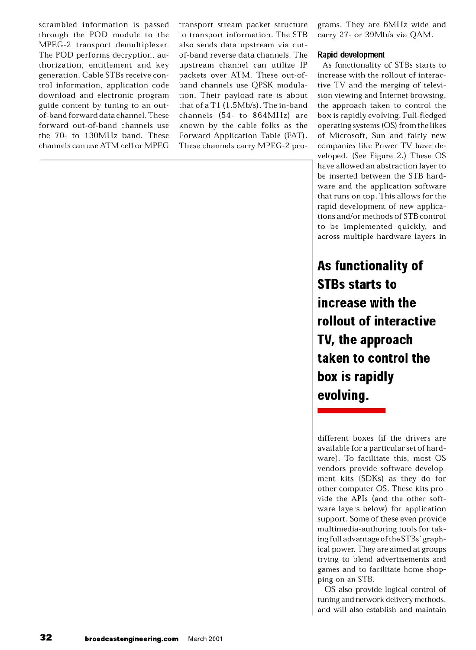scrambled information is passed through the POD module to the MPEG-2 transport demultiplexer. The POD performs decryption, authorization, entitlement and key generation. Cable STBs receive control information, application code download and electronic program guide content by tuning to an outof-band forward data channel. These forward out-of-band channels use the 70- to 130MHz band. These channels can use ATM cell or MPEG

transport stream packet structure to transport information. The STB also sends data upstream via outof-band reverse data channels. The upstream channel can utilize IP packets over ATM. These out-ofband channels use QPSK modulation. Their payload rate is about that of a T1 (1.5Mb/s). The in-band channels (54- to 864MHz) are known by the cable folks as the Forward Application Table (FAT). These channels carry MPEG-2 programs. They are 6MHz wide and carry 27- or 39Mb/s via QAM.

## Rapid development

As functionality of STBs starts to increase with the rollout of interactive TV and the merging of television viewing and Internet browsing, the approach taken to control the box is rapidly evolving. Full-fledged operating systems (OS) from the likes of Microsoft, Sun and fairly new companies like Power TV have developed. (See Figure 2.) These OS have allowed an abstraction layer to be inserted between the STB hardware and the application software that runs on top. This allows for the rapid development of new applications and/or methods of STB control to be implemented quickly, and across multiple hardware layers in

As functionality of **STBs starts to** increase with the rollout of interactive TV, the approach taken to control the box is rapidly evolving.

different boxes (if the drivers are available for a particular set of hardware). To facilitate this, most OS vendors provide software development kits (SDKs) as they do for other computer OS. These kits provide the APIs (and the other software layers below) for application support. Some of these even provide multimedia-authoring tools for taking full advantage of the STBs' graphical power. They are aimed at groups trying to blend advertisements and games and to facilitate home shopping on an STB.

OS also provide logical control of tuning and network delivery methods, and will also establish and maintain